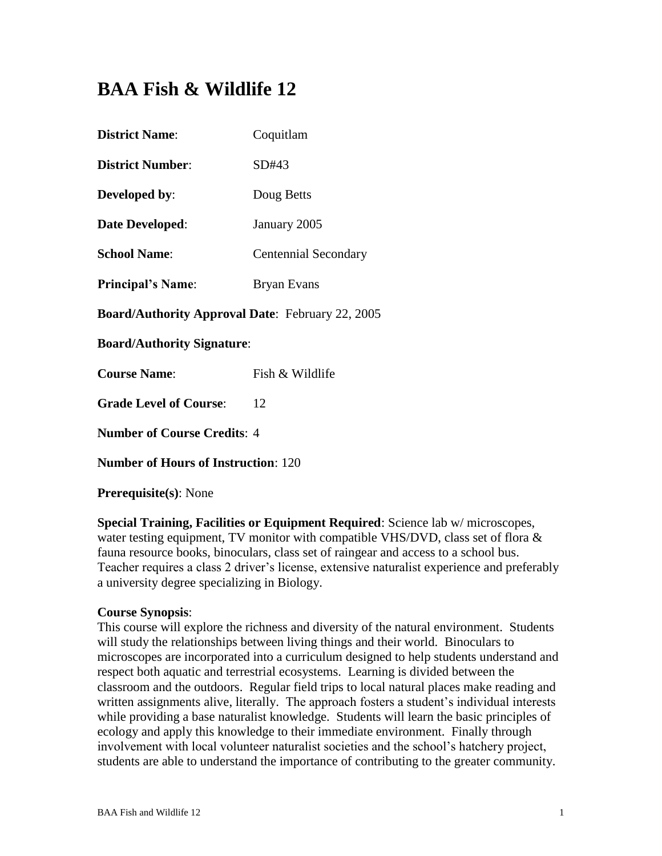# **BAA Fish & Wildlife 12**

| <b>District Name:</b>                                   | Coquitlam                   |  |  |
|---------------------------------------------------------|-----------------------------|--|--|
| <b>District Number:</b>                                 | SD#43                       |  |  |
| <b>Developed by:</b>                                    | Doug Betts                  |  |  |
| <b>Date Developed:</b>                                  | January 2005                |  |  |
| <b>School Name:</b>                                     | <b>Centennial Secondary</b> |  |  |
| <b>Principal's Name:</b>                                | <b>Bryan Evans</b>          |  |  |
| <b>Board/Authority Approval Date: February 22, 2005</b> |                             |  |  |
| <b>Board/Authority Signature:</b>                       |                             |  |  |
| <b>Course Name:</b>                                     | Fish & Wildlife             |  |  |
| <b>Grade Level of Course:</b>                           | 12                          |  |  |
| <b>Number of Course Credits: 4</b>                      |                             |  |  |
| <b>Number of Hours of Instruction: 120</b>              |                             |  |  |
|                                                         |                             |  |  |

**Prerequisite(s)**: None

**Special Training, Facilities or Equipment Required**: Science lab w/ microscopes, water testing equipment, TV monitor with compatible VHS/DVD, class set of flora  $\&$ fauna resource books, binoculars, class set of raingear and access to a school bus. Teacher requires a class 2 driver's license, extensive naturalist experience and preferably a university degree specializing in Biology.

#### **Course Synopsis**:

This course will explore the richness and diversity of the natural environment. Students will study the relationships between living things and their world. Binoculars to microscopes are incorporated into a curriculum designed to help students understand and respect both aquatic and terrestrial ecosystems. Learning is divided between the classroom and the outdoors. Regular field trips to local natural places make reading and written assignments alive, literally. The approach fosters a student's individual interests while providing a base naturalist knowledge. Students will learn the basic principles of ecology and apply this knowledge to their immediate environment. Finally through involvement with local volunteer naturalist societies and the school's hatchery project, students are able to understand the importance of contributing to the greater community.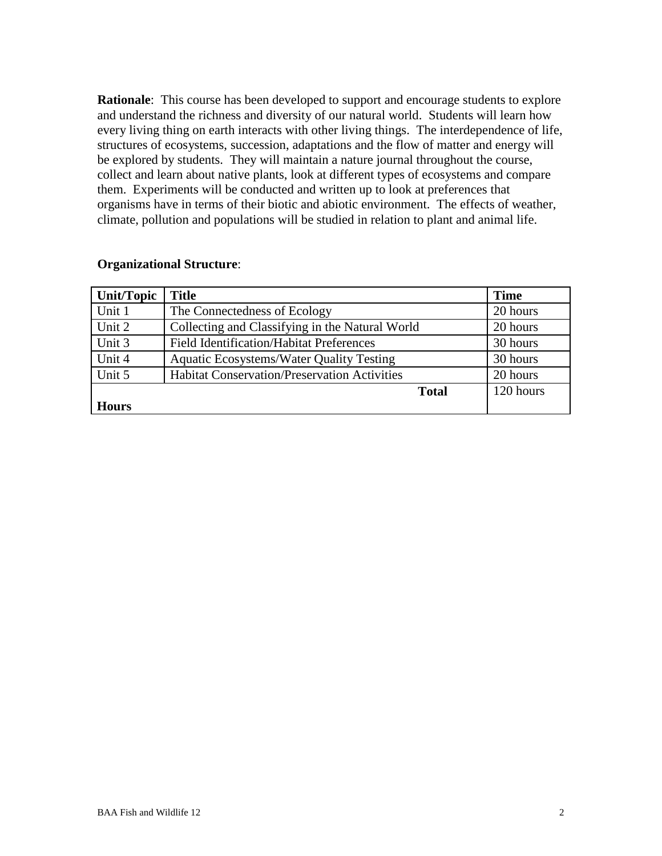**Rationale:** This course has been developed to support and encourage students to explore and understand the richness and diversity of our natural world. Students will learn how every living thing on earth interacts with other living things. The interdependence of life, structures of ecosystems, succession, adaptations and the flow of matter and energy will be explored by students. They will maintain a nature journal throughout the course, collect and learn about native plants, look at different types of ecosystems and compare them. Experiments will be conducted and written up to look at preferences that organisms have in terms of their biotic and abiotic environment. The effects of weather, climate, pollution and populations will be studied in relation to plant and animal life.

#### **Organizational Structure**:

| Unit/Topic   | <b>Title</b>                                        | <b>Time</b> |
|--------------|-----------------------------------------------------|-------------|
| Unit 1       | The Connectedness of Ecology                        | 20 hours    |
| Unit 2       | Collecting and Classifying in the Natural World     | 20 hours    |
| Unit 3       | <b>Field Identification/Habitat Preferences</b>     | 30 hours    |
| Unit 4       | <b>Aquatic Ecosystems/Water Quality Testing</b>     | 30 hours    |
| Unit 5       | <b>Habitat Conservation/Preservation Activities</b> | 20 hours    |
|              | <b>Total</b>                                        | 120 hours   |
| <b>Hours</b> |                                                     |             |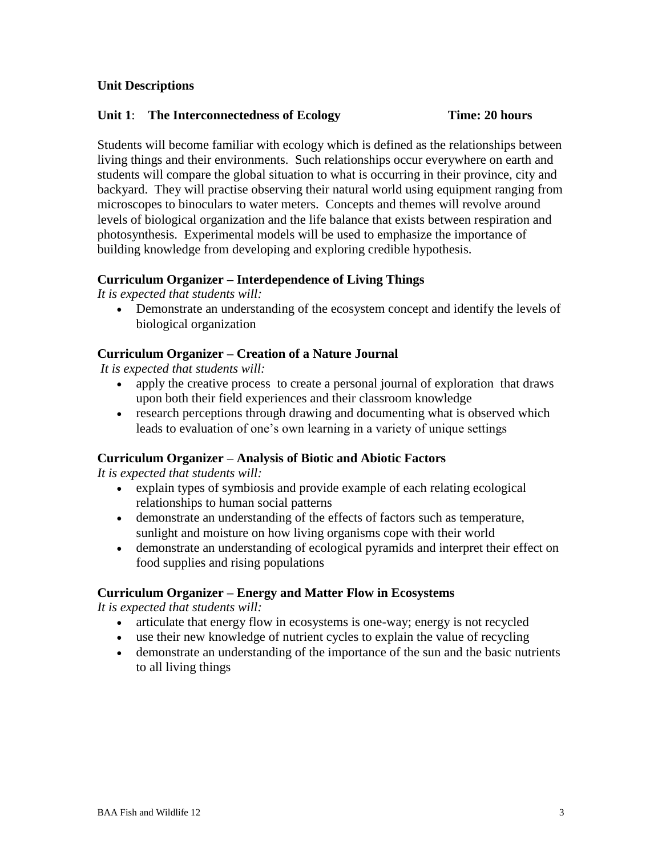#### **Unit Descriptions**

#### **Unit 1**: **The Interconnectedness of Ecology Time: 20 hours**

Students will become familiar with ecology which is defined as the relationships between living things and their environments. Such relationships occur everywhere on earth and students will compare the global situation to what is occurring in their province, city and backyard. They will practise observing their natural world using equipment ranging from microscopes to binoculars to water meters. Concepts and themes will revolve around levels of biological organization and the life balance that exists between respiration and photosynthesis. Experimental models will be used to emphasize the importance of building knowledge from developing and exploring credible hypothesis.

#### **Curriculum Organizer – Interdependence of Living Things**

*It is expected that students will:*

 Demonstrate an understanding of the ecosystem concept and identify the levels of biological organization

#### **Curriculum Organizer – Creation of a Nature Journal**

*It is expected that students will:*

- apply the creative process to create a personal journal of exploration that draws upon both their field experiences and their classroom knowledge
- research perceptions through drawing and documenting what is observed which leads to evaluation of one's own learning in a variety of unique settings

#### **Curriculum Organizer – Analysis of Biotic and Abiotic Factors**

*It is expected that students will:*

- explain types of symbiosis and provide example of each relating ecological relationships to human social patterns
- demonstrate an understanding of the effects of factors such as temperature, sunlight and moisture on how living organisms cope with their world
- demonstrate an understanding of ecological pyramids and interpret their effect on food supplies and rising populations

#### **Curriculum Organizer – Energy and Matter Flow in Ecosystems**

- articulate that energy flow in ecosystems is one-way; energy is not recycled
- use their new knowledge of nutrient cycles to explain the value of recycling
- demonstrate an understanding of the importance of the sun and the basic nutrients to all living things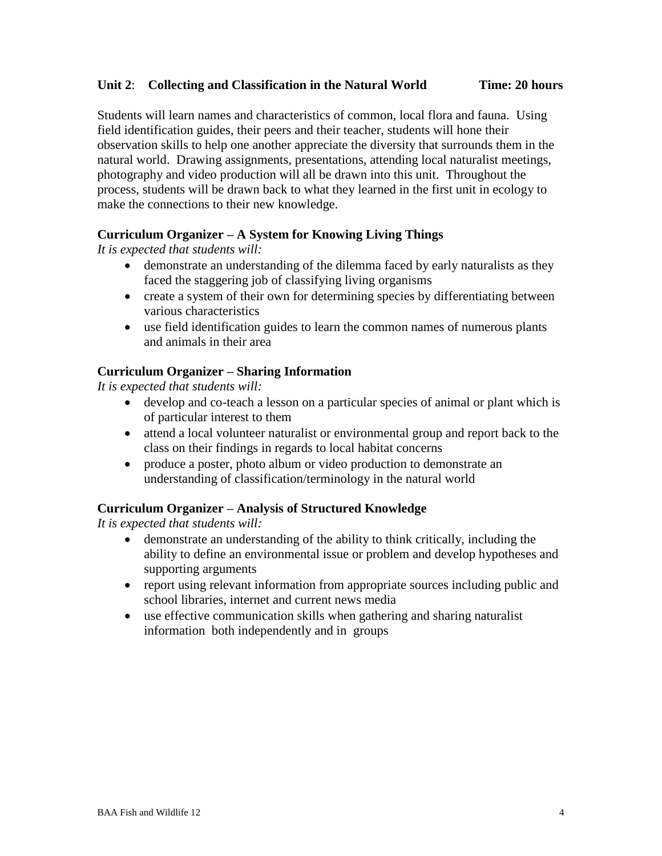#### **Unit 2**: **Collecting and Classification in the Natural World Time: 20 hours**

Students will learn names and characteristics of common, local flora and fauna. Using field identification guides, their peers and their teacher, students will hone their observation skills to help one another appreciate the diversity that surrounds them in the natural world. Drawing assignments, presentations, attending local naturalist meetings, photography and video production will all be drawn into this unit. Throughout the process, students will be drawn back to what they learned in the first unit in ecology to make the connections to their new knowledge.

#### **Curriculum Organizer – A System for Knowing Living Things**

*It is expected that students will:*

- demonstrate an understanding of the dilemma faced by early naturalists as they faced the staggering job of classifying living organisms
- create a system of their own for determining species by differentiating between various characteristics
- use field identification guides to learn the common names of numerous plants and animals in their area

#### **Curriculum Organizer – Sharing Information**

*It is expected that students will:*

- develop and co-teach a lesson on a particular species of animal or plant which is of particular interest to them
- attend a local volunteer naturalist or environmental group and report back to the class on their findings in regards to local habitat concerns
- produce a poster, photo album or video production to demonstrate an understanding of classification/terminology in the natural world

### **Curriculum Organizer – Analysis of Structured Knowledge**

- demonstrate an understanding of the ability to think critically, including the ability to define an environmental issue or problem and develop hypotheses and supporting arguments
- report using relevant information from appropriate sources including public and school libraries, internet and current news media
- use effective communication skills when gathering and sharing naturalist information both independently and in groups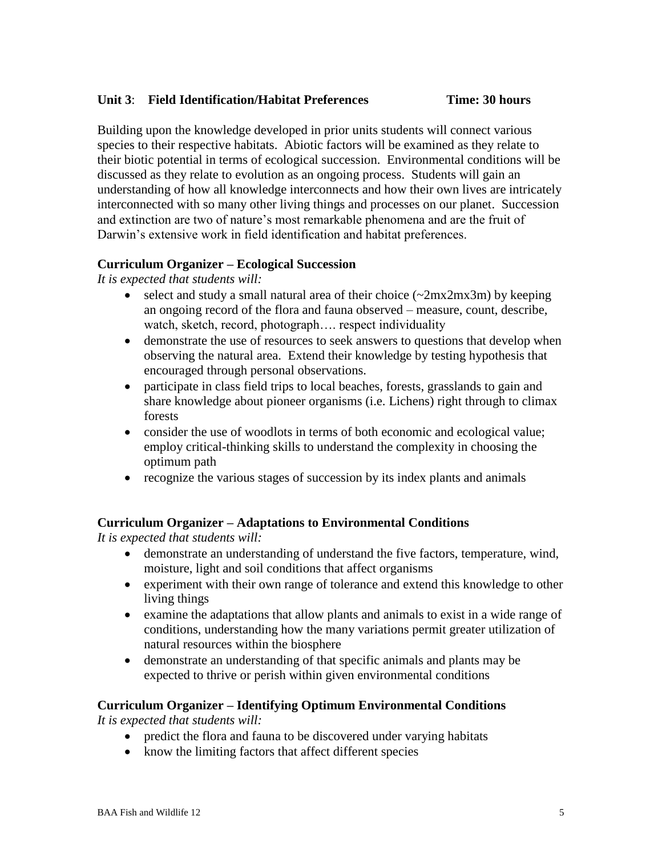#### **Unit 3**: **Field Identification/Habitat Preferences Time: 30 hours**

Building upon the knowledge developed in prior units students will connect various species to their respective habitats. Abiotic factors will be examined as they relate to their biotic potential in terms of ecological succession. Environmental conditions will be discussed as they relate to evolution as an ongoing process. Students will gain an understanding of how all knowledge interconnects and how their own lives are intricately interconnected with so many other living things and processes on our planet. Succession and extinction are two of nature's most remarkable phenomena and are the fruit of Darwin's extensive work in field identification and habitat preferences.

#### **Curriculum Organizer – Ecological Succession**

*It is expected that students will:*

- select and study a small natural area of their choice  $(\sim 2mx2mx3m)$  by keeping an ongoing record of the flora and fauna observed – measure, count, describe, watch, sketch, record, photograph…. respect individuality
- demonstrate the use of resources to seek answers to questions that develop when observing the natural area. Extend their knowledge by testing hypothesis that encouraged through personal observations.
- participate in class field trips to local beaches, forests, grasslands to gain and share knowledge about pioneer organisms (i.e. Lichens) right through to climax forests
- consider the use of woodlots in terms of both economic and ecological value; employ critical-thinking skills to understand the complexity in choosing the optimum path
- recognize the various stages of succession by its index plants and animals

#### **Curriculum Organizer – Adaptations to Environmental Conditions**

*It is expected that students will:*

- demonstrate an understanding of understand the five factors, temperature, wind, moisture, light and soil conditions that affect organisms
- experiment with their own range of tolerance and extend this knowledge to other living things
- examine the adaptations that allow plants and animals to exist in a wide range of conditions, understanding how the many variations permit greater utilization of natural resources within the biosphere
- demonstrate an understanding of that specific animals and plants may be expected to thrive or perish within given environmental conditions

#### **Curriculum Organizer – Identifying Optimum Environmental Conditions**

- predict the flora and fauna to be discovered under varying habitats
- know the limiting factors that affect different species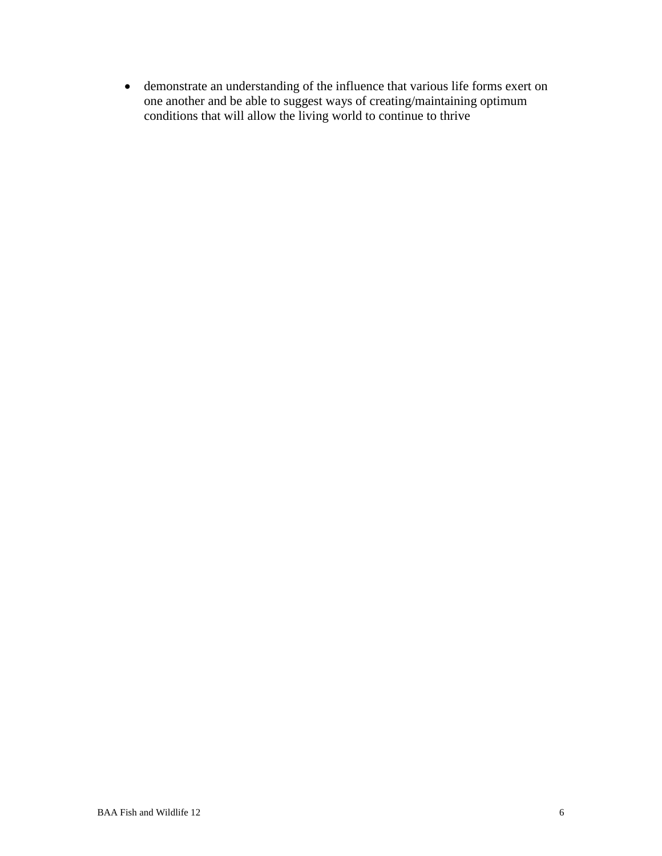demonstrate an understanding of the influence that various life forms exert on one another and be able to suggest ways of creating/maintaining optimum conditions that will allow the living world to continue to thrive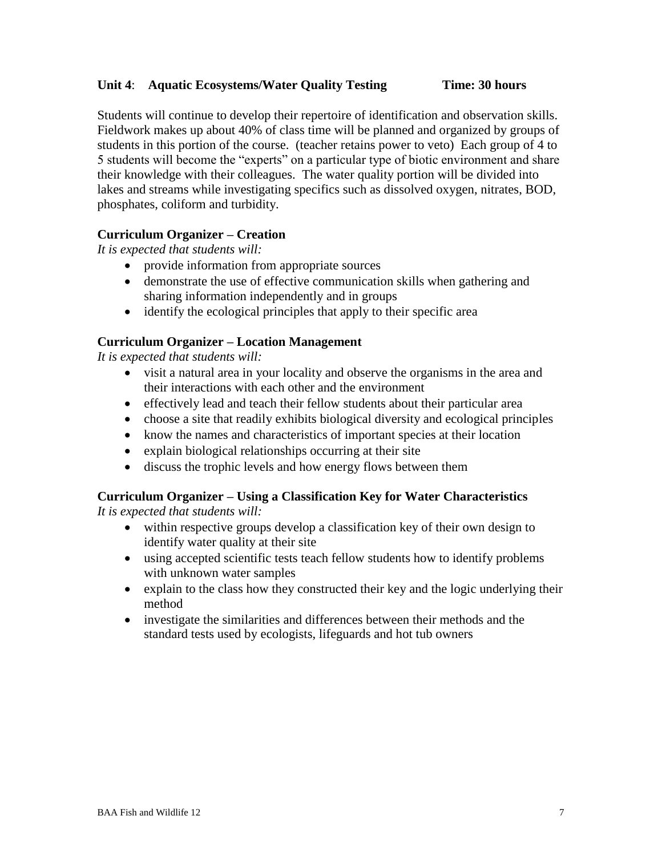#### **Unit 4**: **Aquatic Ecosystems/Water Quality Testing Time: 30 hours**

Students will continue to develop their repertoire of identification and observation skills. Fieldwork makes up about 40% of class time will be planned and organized by groups of students in this portion of the course. (teacher retains power to veto) Each group of 4 to 5 students will become the "experts" on a particular type of biotic environment and share their knowledge with their colleagues. The water quality portion will be divided into lakes and streams while investigating specifics such as dissolved oxygen, nitrates, BOD, phosphates, coliform and turbidity.

#### **Curriculum Organizer – Creation**

*It is expected that students will:*

- provide information from appropriate sources
- demonstrate the use of effective communication skills when gathering and sharing information independently and in groups
- identify the ecological principles that apply to their specific area

#### **Curriculum Organizer – Location Management**

*It is expected that students will:*

- visit a natural area in your locality and observe the organisms in the area and their interactions with each other and the environment
- effectively lead and teach their fellow students about their particular area
- choose a site that readily exhibits biological diversity and ecological principles
- know the names and characteristics of important species at their location
- explain biological relationships occurring at their site
- discuss the trophic levels and how energy flows between them

## **Curriculum Organizer – Using a Classification Key for Water Characteristics**

- within respective groups develop a classification key of their own design to identify water quality at their site
- using accepted scientific tests teach fellow students how to identify problems with unknown water samples
- explain to the class how they constructed their key and the logic underlying their method
- investigate the similarities and differences between their methods and the standard tests used by ecologists, lifeguards and hot tub owners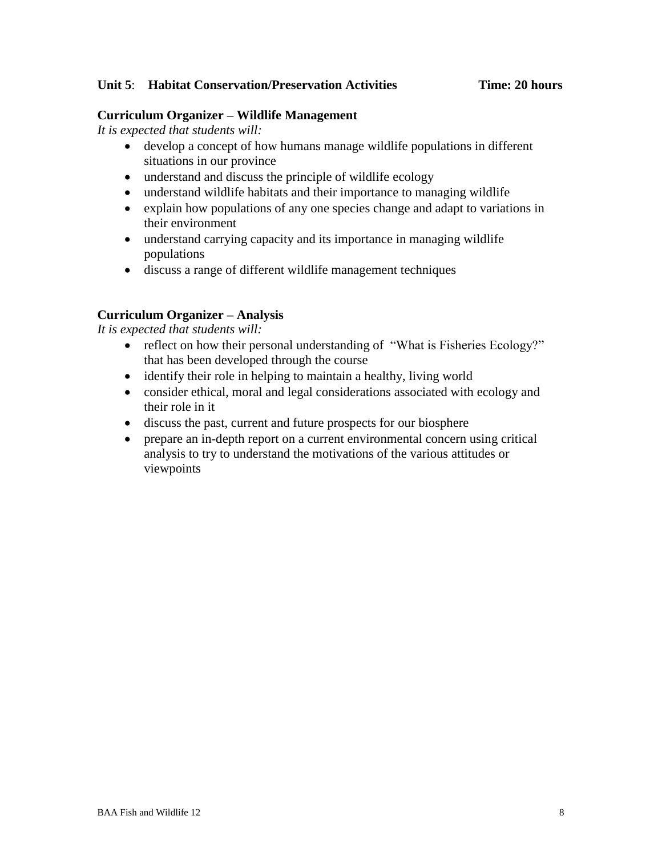#### **Unit 5**: **Habitat Conservation/Preservation Activities Time: 20 hours**

#### **Curriculum Organizer – Wildlife Management**

*It is expected that students will:*

- develop a concept of how humans manage wildlife populations in different situations in our province
- understand and discuss the principle of wildlife ecology
- understand wildlife habitats and their importance to managing wildlife
- explain how populations of any one species change and adapt to variations in their environment
- understand carrying capacity and its importance in managing wildlife populations
- discuss a range of different wildlife management techniques

#### **Curriculum Organizer – Analysis**

- reflect on how their personal understanding of "What is Fisheries Ecology?" that has been developed through the course
- identify their role in helping to maintain a healthy, living world
- consider ethical, moral and legal considerations associated with ecology and their role in it
- discuss the past, current and future prospects for our biosphere
- prepare an in-depth report on a current environmental concern using critical analysis to try to understand the motivations of the various attitudes or viewpoints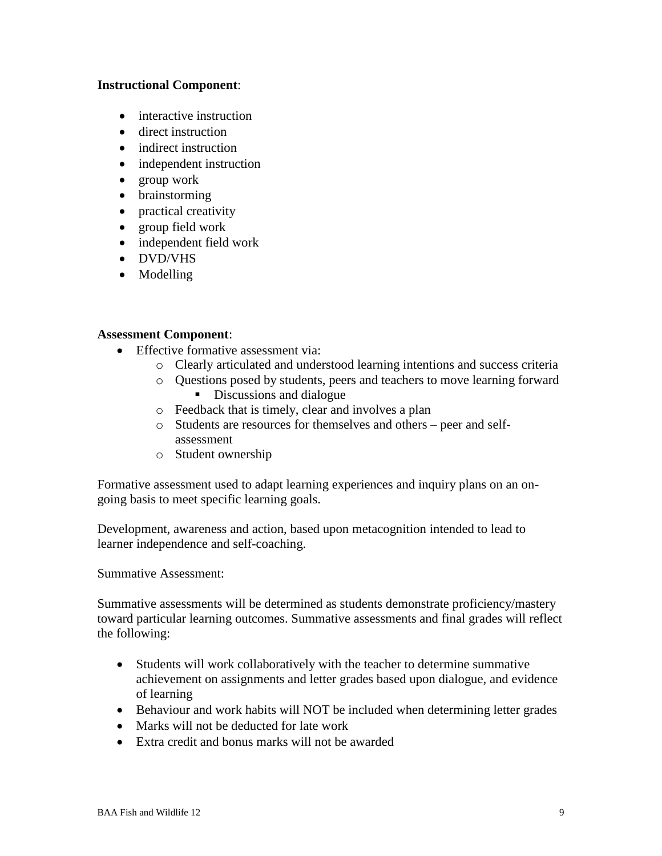#### **Instructional Component**:

- interactive instruction
- direct instruction
- indirect instruction
- independent instruction
- group work
- brainstorming
- practical creativity
- group field work
- independent field work
- DVD/VHS
- Modelling

#### **Assessment Component**:

- Effective formative assessment via:
	- o Clearly articulated and understood learning intentions and success criteria
	- o Questions posed by students, peers and teachers to move learning forward Discussions and dialogue
	- o Feedback that is timely, clear and involves a plan
	- o Students are resources for themselves and others peer and selfassessment
	- o Student ownership

Formative assessment used to adapt learning experiences and inquiry plans on an ongoing basis to meet specific learning goals.

Development, awareness and action, based upon metacognition intended to lead to learner independence and self-coaching.

Summative Assessment:

Summative assessments will be determined as students demonstrate proficiency/mastery toward particular learning outcomes. Summative assessments and final grades will reflect the following:

- Students will work collaboratively with the teacher to determine summative achievement on assignments and letter grades based upon dialogue, and evidence of learning
- Behaviour and work habits will NOT be included when determining letter grades
- Marks will not be deducted for late work
- Extra credit and bonus marks will not be awarded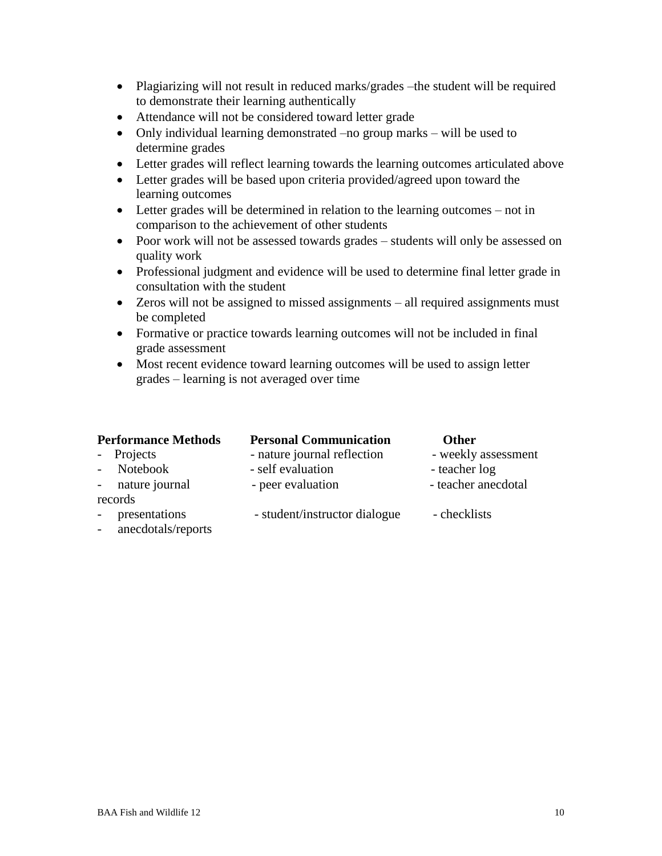- Plagiarizing will not result in reduced marks/grades –the student will be required to demonstrate their learning authentically
- Attendance will not be considered toward letter grade
- Only individual learning demonstrated –no group marks will be used to determine grades
- Letter grades will reflect learning towards the learning outcomes articulated above
- Letter grades will be based upon criteria provided/agreed upon toward the learning outcomes
- Letter grades will be determined in relation to the learning outcomes not in comparison to the achievement of other students
- Poor work will not be assessed towards grades students will only be assessed on quality work
- Professional judgment and evidence will be used to determine final letter grade in consultation with the student
- Zeros will not be assigned to missed assignments all required assignments must be completed
- Formative or practice towards learning outcomes will not be included in final grade assessment
- Most recent evidence toward learning outcomes will be used to assign letter grades – learning is not averaged over time

| <b>Performance Methods</b> | <b>Personal Communication</b> | <b>Other</b>        |
|----------------------------|-------------------------------|---------------------|
| - Projects                 | - nature journal reflection   | - weekly assessment |
| - Notebook                 | - self evaluation             | - teacher log       |
| - nature journal           | - peer evaluation             | - teacher anecdotal |
| records                    |                               |                     |
| - presentations            | - student/instructor dialogue | - checklists        |
| anogadotale/nononte        |                               |                     |

- anecdotals/reports